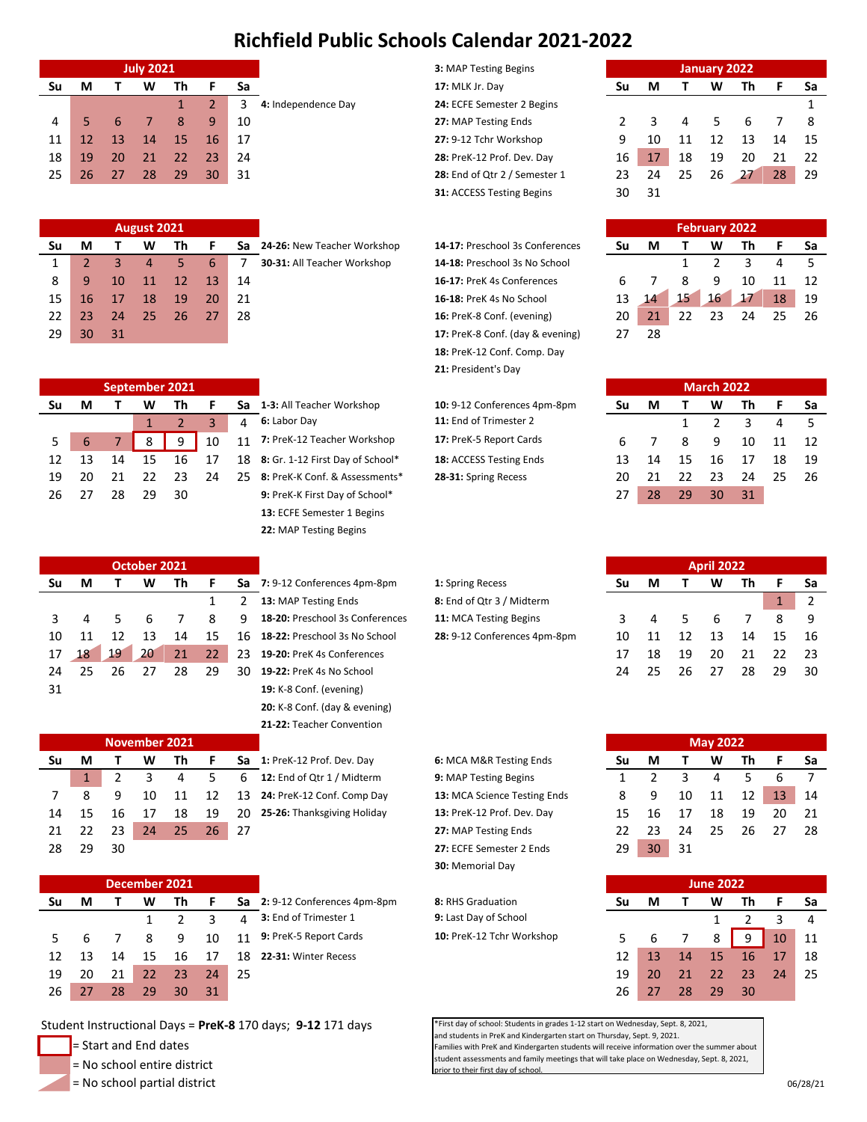## **Richfield Public Schools Calendar 2021-2022**

|    | <b>July 2021</b> |    |    |    |    |    |                     | 3: MAP Testing Begins<br>January 2022 |    |    |    |    |    |    |     |
|----|------------------|----|----|----|----|----|---------------------|---------------------------------------|----|----|----|----|----|----|-----|
| Su | M                |    | w  | Th |    | Sa | 17: MLK Jr. Day     |                                       | Su | м  |    | W  | Τh |    | Sa  |
|    |                  |    |    |    |    |    | 4: Independence Day | 24: ECFE Semester 2 Begins            |    |    |    |    |    |    |     |
|    |                  |    |    |    | q  | 10 |                     | 27: MAP Testing Ends                  |    |    |    |    |    |    | -8  |
|    |                  | 13 | 14 | 15 | 16 |    |                     | 27: 9-12 Tchr Workshop                |    |    |    |    | 13 | 14 | -15 |
| 18 | 19               | 20 | 21 | 22 | 23 | 24 |                     | 28: PreK-12 Prof. Dev. Day            | 16 |    | 18 | 19 | 20 | 21 | -22 |
| 25 |                  |    | 28 | 29 | 30 | 31 |                     | 28: End of Qtr 2 / Semester 1         | 23 | 24 | 25 | 26 |    | 28 | 29  |
|    |                  |    |    |    |    |    |                     |                                       |    |    |    |    |    |    |     |

|    | August 2021 |    |    |    |    |    |                             |                                  |    | <b>February 2022</b> |    |    |    |  |  |  |  |
|----|-------------|----|----|----|----|----|-----------------------------|----------------------------------|----|----------------------|----|----|----|--|--|--|--|
| Su | М           |    | w  | Th |    | Sa | 24-26: New Teacher Workshop | 14-17: Preschool 3s Conferences  | Su | М                    |    | W  | Τh |  |  |  |  |
|    |             |    |    |    |    |    | 30-31: All Teacher Workshop | 14-18: Preschool 3s No School    |    |                      |    |    |    |  |  |  |  |
| 8  |             | 10 |    | 12 | 13 | 14 |                             | 16-17: PreK 4s Conferences       |    |                      |    | 9  | 10 |  |  |  |  |
| 15 |             |    | 18 | 19 | 20 | 21 |                             | 16-18: PreK 4s No School         | 13 | 14                   | 15 | 16 | 17 |  |  |  |  |
| 22 |             | 24 | 25 | 26 |    | 28 |                             | 16: PreK-8 Conf. (evening)       | 20 | 21                   | つつ | 23 | 24 |  |  |  |  |
| 29 | 30          | 31 |    |    |    |    |                             | 17: PreK-8 Conf. (day & evening) |    | 28                   |    |    |    |  |  |  |  |

| <b>3: MAP Testing Begins</b>     |    |    |
|----------------------------------|----|----|
| 17: MLK Jr. Day                  | Sυ |    |
| 24: ECFE Semester 2 Begins       |    |    |
| 27: MAP Testing Ends             | 2  | ર  |
| 27: 9-12 Tchr Workshop           | q  | 10 |
| 28: PreK-12 Prof. Dev. Day       | 16 | 17 |
| 28: End of Qtr 2 / Semester 1    | 23 | 24 |
| <b>31: ACCESS Testing Begins</b> | 30 | 31 |

**P 14-17:** Preschool 3s Conferences 14-18: Preschool 3s No School 16-17: PreK 4s Conferences 16-18: PreK 4s No School 16: PreK-8 Conf. (evening) 17: PreK-8 Conf. (day & evening) **18:** PreK-12 Conf. Comp. Day **21:** President's Day

|    |    |    |                     |                               | $391199112 = 9000$ |    |    |    |    |    |      |  |  |  |
|----|----|----|---------------------|-------------------------------|--------------------|----|----|----|----|----|------|--|--|--|
| ľh |    | Sa |                     | 17: MLK Jr. Day               | Su                 | М  |    | w  | Th |    | Sa   |  |  |  |
|    |    |    | 4: Independence Day | 24: ECFE Semester 2 Begins    |                    |    |    |    |    |    |      |  |  |  |
| 8  | q  | 10 |                     | 27: MAP Testing Ends          |                    |    | 4  |    |    |    | -8   |  |  |  |
| 15 | 16 | 17 |                     | 27: 9-12 Tchr Workshop        |                    | 10 | 11 | 12 | 13 | 14 | - 15 |  |  |  |
| 22 | 23 | 24 |                     | 28: PreK-12 Prof. Dev. Day    | 16                 | 17 | 18 | 19 | 20 |    | -22  |  |  |  |
| 29 | 30 | 31 |                     | 28: End of Qtr 2 / Semester 1 | 23                 | 24 | 25 | 26 |    | 28 | 29   |  |  |  |
|    |    |    |                     | 31: ACCESS Testing Begins     | 30                 | 31 |    |    |    |    |      |  |  |  |
|    |    |    |                     |                               |                    |    |    |    |    |    |      |  |  |  |

| <b>February 2022</b> |    |    |               |    |    |    |  |  |  |  |  |  |  |
|----------------------|----|----|---------------|----|----|----|--|--|--|--|--|--|--|
| Su                   | м  |    | W             | Th | F  | Sa |  |  |  |  |  |  |  |
|                      |    | 1  | $\mathcal{P}$ | 3  |    | 5  |  |  |  |  |  |  |  |
| 6                    |    | 8  | q             | 10 | 11 | 12 |  |  |  |  |  |  |  |
| 13                   | 14 | 15 | 16            | 17 | 18 | 19 |  |  |  |  |  |  |  |
| 20                   | 21 | 22 | 23            | 24 | 25 | 26 |  |  |  |  |  |  |  |
| 27                   | 28 |    |               |    |    |    |  |  |  |  |  |  |  |

|    | March 2022 |    |               |    |    |    |  |  |  |  |  |  |  |  |
|----|------------|----|---------------|----|----|----|--|--|--|--|--|--|--|--|
| Su | М          |    | Τh<br>W       |    |    | Sa |  |  |  |  |  |  |  |  |
|    |            | 1  | $\mathcal{P}$ | 3  | 4  | 5  |  |  |  |  |  |  |  |  |
| 6  |            | 8  | ٩             | 10 | 11 | 12 |  |  |  |  |  |  |  |  |
| 13 | 14         | 15 | 16            | 17 | 18 | 19 |  |  |  |  |  |  |  |  |
| 20 | 21         | 22 | 23            | 24 | 25 | 26 |  |  |  |  |  |  |  |  |
| 27 | 28         | 29 | 30            | 31 |    |    |  |  |  |  |  |  |  |  |

|  | 6 7 8 9 10 11 12           |  |  |
|--|----------------------------|--|--|
|  | 13  14  15  16  17  18  19 |  |  |
|  | 20 21 22 23 24 25 26       |  |  |
|  | 27  28  29  30  31         |  |  |
|  |                            |  |  |
|  |                            |  |  |
|  |                            |  |  |

|    | <b>April 2022</b> |    |    |    |    |    |  |  |  |  |  |  |  |  |
|----|-------------------|----|----|----|----|----|--|--|--|--|--|--|--|--|
| Su | М                 | т  | W  | Th | F  | Sa |  |  |  |  |  |  |  |  |
|    |                   |    |    |    | 1  | 2  |  |  |  |  |  |  |  |  |
| 3  | 4                 | 5  | 6  | 7  | 8  | ٩  |  |  |  |  |  |  |  |  |
| 10 | 11                | 12 | 13 | 14 | 15 | 16 |  |  |  |  |  |  |  |  |
| 17 | 18                | 19 | 20 | 21 | 22 | 23 |  |  |  |  |  |  |  |  |
| 24 | 25                | 26 | 27 | 28 | 29 | 30 |  |  |  |  |  |  |  |  |

|    | <b>May 2022</b> |              |    |    |    |    |  |  |  |  |  |  |  |  |
|----|-----------------|--------------|----|----|----|----|--|--|--|--|--|--|--|--|
| Su | м               | $\mathbf{T}$ | W  | Th | F  | Sa |  |  |  |  |  |  |  |  |
| 1  | $\mathcal{P}$   | 3            | 4  | 5  | 6  |    |  |  |  |  |  |  |  |  |
| 8  | ٩               | 10           | 11 | 12 | 13 | 14 |  |  |  |  |  |  |  |  |
| 15 | 16              | 17           | 18 | 19 | 20 | 21 |  |  |  |  |  |  |  |  |
| 22 | 23              | 24           | 25 | 26 | 27 | 28 |  |  |  |  |  |  |  |  |
| 29 | 30              | 31           |    |    |    |    |  |  |  |  |  |  |  |  |

| <b>June 2022</b> |    |    |    |    |    |    |  |  |  |  |  |  |
|------------------|----|----|----|----|----|----|--|--|--|--|--|--|
| Su               | м  |    | W  | Th | F  | Sa |  |  |  |  |  |  |
|                  |    |    | 1  | 2  | 3  |    |  |  |  |  |  |  |
| 5                | 6  |    | 8  | ٩  | 10 | 11 |  |  |  |  |  |  |
| 12               | 13 | 14 | 15 | 16 | 17 | 18 |  |  |  |  |  |  |
| 19               | 20 | 21 | 22 | 23 | 24 | 25 |  |  |  |  |  |  |
| 26               | 27 | 28 | 29 | 30 |    |    |  |  |  |  |  |  |

\*First day of school: Students in grades 1-12 start on Wednesday, Sept. 8, 2021, and students in PreK and Kindergarten start on Thursday, Sept. 9, 2021. Families with PreK and Kindergarten students will receive information over the summer about tudent assessments and family meetings that will take place on Wednesday, Sept. 8, 2021,

|    | September 2021 |    |    |    |    |     |                                  |                              |    | <b>March 2022</b> |    |    |                          |  |
|----|----------------|----|----|----|----|-----|----------------------------------|------------------------------|----|-------------------|----|----|--------------------------|--|
| Su | М              |    | w  | Th |    | Sa  | 1-3: All Teacher Workshop        | 10: 9-12 Conferences 4pm-8pm | Su | М                 |    | W  | п                        |  |
|    |                |    |    |    |    |     | 6: Labor Dav                     | 11: End of Trimester 2       |    |                   |    |    |                          |  |
|    |                |    |    | 9  | 10 | 11  | 7: PreK-12 Teacher Workshop      | 17: PreK-5 Report Cards      |    |                   |    |    | $\overline{1}$           |  |
| 12 | 13             | 14 | 15 | 16 |    | 18  | 8: Gr. 1-12 First Day of School* | 18: ACCESS Testing Ends      |    | 14                | 15 | 16 | $\mathbf{1}$             |  |
| 19 | 20             | 21 | フフ |    | 24 | 25. | 8: PreK-K Conf. & Assessments*   | 28-31: Spring Recess         | 20 | 21                | 22 | つっ | $\overline{2}$           |  |
| 26 |                | 28 | 29 | 30 |    |     | 9: PreK-K First Day of School*   |                              | 27 | 28                | 29 | 30 | $\overline{\phantom{a}}$ |  |
|    |                |    |    |    |    |     |                                  |                              |    |                   |    |    |                          |  |

**1-3:** All Teacher Workshop **10:** 9-12 Conferences 4pm-8pm **6:** Labor Day **11:** End of Trimester 2 7: PreK-12 Teacher Workshop **17:** PreK-5 Report Cards 8: Gr. 1-12 First Day of School\* **18:** ACCESS Testing Ends 8: PreK-K Conf. & Assessments\* **28-31:** Spring Recess 9: PreK-K First Day of School\* **13:** ECFE Semester 1 Begins **22:** MAP Testing Begins

|    | October 2021 |    |    |    |    |    |                                 | <b>April 2022</b>            |    |    |    |    |    |    |                |  |
|----|--------------|----|----|----|----|----|---------------------------------|------------------------------|----|----|----|----|----|----|----------------|--|
| Su | M            |    | W  | Th |    | Sa | 7: 9-12 Conferences 4pm-8pm     | 1: Spring Recess             | Su | М  |    | W  | Th |    | Sa             |  |
|    |              |    |    |    |    |    | 13: MAP Testing Ends            | 8: End of Qtr 3 / Midterm    |    |    |    |    |    |    | $\overline{2}$ |  |
|    | 4            |    | b  |    | 8  | q  | 18-20: Preschool 3s Conferences | 11: MCA Testing Begins       |    |    |    |    |    | 8  | - 9            |  |
| 10 | 11           |    | 13 | 14 | 15 | 16 | 18-22: Preschool 3s No School   | 28: 9-12 Conferences 4pm-8pm | 10 |    |    | 13 | 14 | 15 | 16             |  |
| 17 | 18           | 19 | 20 | 21 | 22 | 23 | 19-20: PreK 4s Conferences      |                              | 17 | 18 | 19 | 20 | 21 | 22 | -23            |  |
| 24 | 25           | 26 | 27 | 28 | 29 | 30 | 19-22: PreK 4s No School        |                              | 24 | 25 | 26 | 27 | 28 | 29 | 30             |  |
| 31 |              |    |    |    |    |    | 19: K-8 Conf. (evening)         |                              |    |    |    |    |    |    |                |  |
|    |              |    |    |    |    |    |                                 |                              |    |    |    |    |    |    |                |  |

|    |    |    | November 2021 |    |    |    |                             |                              |    | <b>May 2022</b> |    |    |    |    |      |
|----|----|----|---------------|----|----|----|-----------------------------|------------------------------|----|-----------------|----|----|----|----|------|
| Su | М  |    | w             | Th |    | Sa | 1: PreK-12 Prof. Dev. Day   | 6: MCA M&R Testing Ends      | Su | М               |    | w  | Th |    | Sa   |
|    |    |    |               |    |    | h  | 12: End of Qtr 1 / Midterm  | 9: MAP Testing Begins        |    |                 |    | 4  |    |    |      |
|    |    |    | 10            | 11 | 12 | 13 | 24: PreK-12 Conf. Comp Day  | 13: MCA Science Testing Ends |    | 9               | 10 | 11 | 12 |    | 14   |
| 14 | 15 | 16 |               | 18 | 19 | 20 | 25-26: Thanksgiving Holiday | 13: PreK-12 Prof. Dev. Day   | 15 |                 |    | 18 | 19 | 20 | - 21 |
|    | 22 | 23 | 24            | 25 | 26 | 27 |                             | 27: MAP Testing Ends         |    |                 | 24 | 25 | 26 |    | 28   |
| 28 | 29 | 30 |               |    |    |    |                             | 27: ECFE Semester 2 Ends     | 29 | 30              | 31 |    |    |    |      |

PreK 4s Conferences Conf. (evening) **20:** K-8 Conf. (day & evening) **21-22:** Teacher Convention

| December 2021 |    |    |    |    |    |     |                             |                           | <b>June 2022</b> |    |    |    |    |    |                |
|---------------|----|----|----|----|----|-----|-----------------------------|---------------------------|------------------|----|----|----|----|----|----------------|
| Su            | М  |    | W  | Th |    | Sa  | 2: 9-12 Conferences 4pm-8pm | 8: RHS Graduation         | Su               | М  |    | w  | Th |    | Sa             |
|               |    |    |    |    |    | Δ   | 3: End of Trimester 1       | 9: Last Day of School     |                  |    |    |    |    |    | $\overline{4}$ |
|               |    |    |    | q  | 10 | 11  | 9: PreK-5 Report Cards      | 10: PreK-12 Tchr Workshop |                  |    |    | 8  |    | 10 | 11             |
| 12            | 13 | 14 | 15 | 16 |    | 18. | 22-31: Winter Recess        |                           | 12               |    | 14 | 15 | 16 |    | 18             |
| 19            | 20 |    | 22 | 23 | 74 | 25  |                             |                           | 19               | 20 |    |    | 23 |    | 25             |
| 26            | 27 | 28 | 29 | 30 | 31 |     |                             |                           | 26               |    | 28 | 29 | 30 |    |                |

Student Instructional Days = **PreK-8** 170 days; **9-12** 171 days

= Start and End dates

= No school entire district

= No school partial district

**S: MCA M&R Testing Ends 6:** MCA M&R Testing Ends PreK-12 Conf. Comp Day **13:** MCA Science Testing Ends -26: Thanksgiving Holiday **13:** PreK-12 Prof. Dev. Day 27: ECFE Semester 2 Ends **30:** Memorial Day

| <b>8:</b> RHS Graduation  |
|---------------------------|
| 9: Last Day of School     |
| 10: PreK-12 Tchr Workshop |
|                           |

their first day of sch